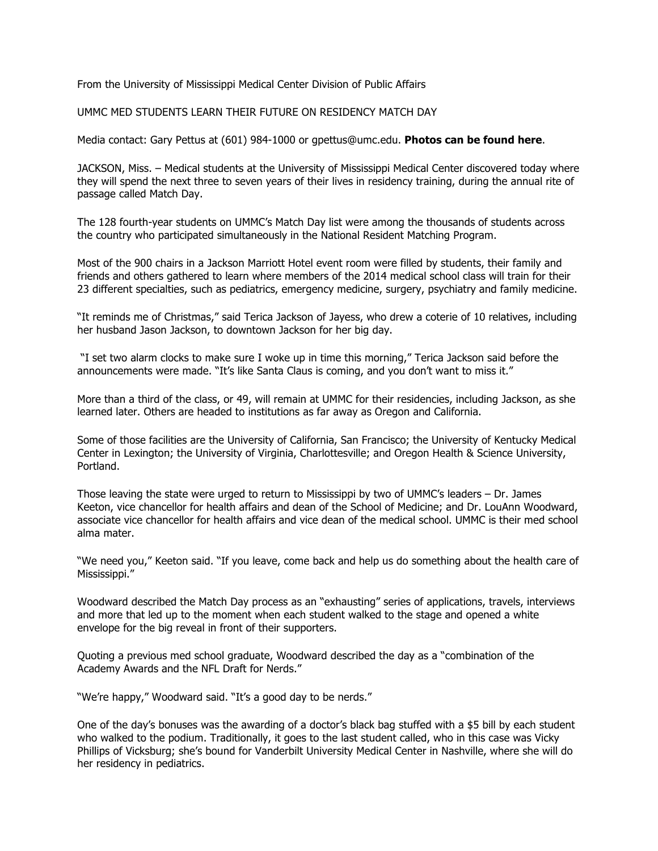From the University of Mississippi Medical Center Division of Public Affairs

UMMC MED STUDENTS LEARN THEIR FUTURE ON RESIDENCY MATCH DAY

Media contact: Gary Pettus at (601) 984-1000 or gpettus@umc.edu. **Photos can be found here**.

JACKSON, Miss. – Medical students at the University of Mississippi Medical Center discovered today where they will spend the next three to seven years of their lives in residency training, during the annual rite of passage called Match Day.

The 128 fourth-year students on UMMC's Match Day list were among the thousands of students across the country who participated simultaneously in the National Resident Matching Program.

Most of the 900 chairs in a Jackson Marriott Hotel event room were filled by students, their family and friends and others gathered to learn where members of the 2014 medical school class will train for their 23 different specialties, such as pediatrics, emergency medicine, surgery, psychiatry and family medicine.

"It reminds me of Christmas," said Terica Jackson of Jayess, who drew a coterie of 10 relatives, including her husband Jason Jackson, to downtown Jackson for her big day.

 "I set two alarm clocks to make sure I woke up in time this morning," Terica Jackson said before the announcements were made. "It's like Santa Claus is coming, and you don't want to miss it."

More than a third of the class, or 49, will remain at UMMC for their residencies, including Jackson, as she learned later. Others are headed to institutions as far away as Oregon and California.

Some of those facilities are the University of California, San Francisco; the University of Kentucky Medical Center in Lexington; the University of Virginia, Charlottesville; and Oregon Health & Science University, Portland.

Those leaving the state were urged to return to Mississippi by two of UMMC's leaders – Dr. James Keeton, vice chancellor for health affairs and dean of the School of Medicine; and Dr. LouAnn Woodward, associate vice chancellor for health affairs and vice dean of the medical school. UMMC is their med school alma mater.

"We need you," Keeton said. "If you leave, come back and help us do something about the health care of Mississippi."

Woodward described the Match Day process as an "exhausting" series of applications, travels, interviews and more that led up to the moment when each student walked to the stage and opened a white envelope for the big reveal in front of their supporters.

Quoting a previous med school graduate, Woodward described the day as a "combination of the Academy Awards and the NFL Draft for Nerds."

"We're happy," Woodward said. "It's a good day to be nerds."

One of the day's bonuses was the awarding of a doctor's black bag stuffed with a \$5 bill by each student who walked to the podium. Traditionally, it goes to the last student called, who in this case was Vicky Phillips of Vicksburg; she's bound for Vanderbilt University Medical Center in Nashville, where she will do her residency in pediatrics.